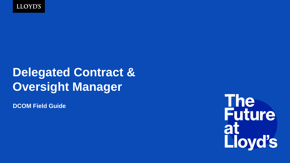

# **Delegated Contract & Oversight Manager**

**DCOM Field Guide**

The<br>Future at<br>Lloyd's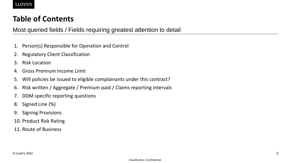## **Table of Contents**

### Most queried fields / Fields requiring greatest attention to detail

- 1. Person(s) Responsible for Operation and Control
- 2. Regulatory Client Classification
- 3. Risk Location
- 4. Gross Premium Income Limit
- 5. Will policies be issued to eligible complainants under this contract?
- 6. Risk written / Aggregate / Premium paid / Claims reporting intervals
- 7. DDM specific reporting questions
- 8. Signed Line (%)
- 9. Signing Provisions
- 10. Product Risk Rating
- 11. Route of Business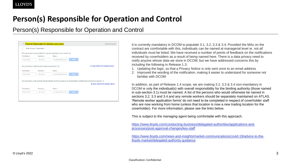## **Person(s) Responsible for Operation and Control**

Person(s) Responsible for Operation and Control

|                            | Person(s) Responsible for Operation and Control<br>Individual section<br>Enter for each Coverholder? |                                                                            |                                                                                                                    |  |  |  |  |
|----------------------------|------------------------------------------------------------------------------------------------------|----------------------------------------------------------------------------|--------------------------------------------------------------------------------------------------------------------|--|--|--|--|
|                            |                                                                                                      |                                                                            |                                                                                                                    |  |  |  |  |
|                            |                                                                                                      | The person(s) responsible for overall operation and control $\circledcirc$ |                                                                                                                    |  |  |  |  |
| First Name *               | Surname *                                                                                            | Email *                                                                    |                                                                                                                    |  |  |  |  |
| First Name                 | Surname                                                                                              | Add<br>email@address.com                                                   |                                                                                                                    |  |  |  |  |
|                            |                                                                                                      |                                                                            |                                                                                                                    |  |  |  |  |
|                            |                                                                                                      |                                                                            |                                                                                                                    |  |  |  |  |
|                            | The person(s) authorised to bind insurances $(2)$                                                    |                                                                            | <b>Q</b> Copy names from question above                                                                            |  |  |  |  |
|                            | Surname *                                                                                            | Email *                                                                    |                                                                                                                    |  |  |  |  |
| First Name *<br>First Name | Surname                                                                                              | Add<br>email@address.com                                                   |                                                                                                                    |  |  |  |  |
|                            |                                                                                                      |                                                                            |                                                                                                                    |  |  |  |  |
|                            |                                                                                                      |                                                                            | The person(s) with overall responsibility for the issuance of documents evidencing insurances bound $\circledcirc$ |  |  |  |  |
|                            |                                                                                                      |                                                                            | Q Copy names from question above                                                                                   |  |  |  |  |
| First Name +               | $Surname +$                                                                                          | Fmail +                                                                    |                                                                                                                    |  |  |  |  |

It is currently mandatory in DCOM to populate 3.1, 3.2, 3.3 & 3.4. Provided the MAs on the contract are comfortable with this, individuals can be named at managerial level ie. not *all* individuals must be listed. We have received a number of points of feedback on the notifications received by coverholders as a result of being named here. There is a data privacy need to notify anyone whose data we store in DCOM, but we have addressed concerns this by including the following in Release 1.3:

- 1. Updating the logic, so that a Privacy Notice is only sent *once* to an email address
- 2. Improved the wording of the notification, making it easier to understand for someone not familiar with DCOM

In addition, as part of Release 1.4 scope, we are making 3.2, 3.3 & 3.4 non-mandatory in DCOM ie only the individual(s) with overall responsibility for the binding authority (those named in sub-section 3.1) must be named. A list of the persons who would otherwise be named in sections 3.2, 3.3 and 3.4 and any remote workers should be separately maintained on ATLAS. 'Remote worker application forms' do not need to be completed in respect of coverholder staff who are now working from home (unless that location is now a new trading location for the coverholder). For more information, please see the links below.

This is subject to the managing agent being comfortable with this approach.

[https://www.lloyds.com/conducting-business/delegated-authorities/applications-and](https://www.lloyds.com/conducting-business/delegated-authorities/applications-and-processes/post-approval-changes/key-staff)processes/post-approval-changes/key-staff

[https://www.lloyds.com/news-and-insights/market-communications/covid-19/advice-to-the](https://www.lloyds.com/news-and-insights/market-communications/covid-19/advice-to-the-lloyds-market/delegated-authority-guidance)lloyds-market/delegated-authority-guidance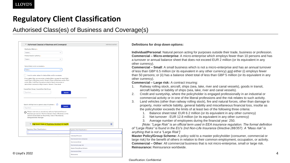## **Regulatory Client Classification**

### Authorised Class(es) of Business and Coverage(s)

| Y Authorised Class(es) of Business and Coverage(s)                                                                                                                                                                                                                                                                                                                                                                                                                                                                                                                                                                                                                                                                                                                                                                                                                          | Individual section | Definitions for drop down options:                                                                                                                                                                                                                                                                                                                                                                                                                                                                                                                                                                                                                                                                                                                                                                                                                                                                                                                                                                                                                                                                                                                                                                                                                                                                                                                                                                                                                                                                                                                                                                                                                                            |
|-----------------------------------------------------------------------------------------------------------------------------------------------------------------------------------------------------------------------------------------------------------------------------------------------------------------------------------------------------------------------------------------------------------------------------------------------------------------------------------------------------------------------------------------------------------------------------------------------------------------------------------------------------------------------------------------------------------------------------------------------------------------------------------------------------------------------------------------------------------------------------|--------------------|-------------------------------------------------------------------------------------------------------------------------------------------------------------------------------------------------------------------------------------------------------------------------------------------------------------------------------------------------------------------------------------------------------------------------------------------------------------------------------------------------------------------------------------------------------------------------------------------------------------------------------------------------------------------------------------------------------------------------------------------------------------------------------------------------------------------------------------------------------------------------------------------------------------------------------------------------------------------------------------------------------------------------------------------------------------------------------------------------------------------------------------------------------------------------------------------------------------------------------------------------------------------------------------------------------------------------------------------------------------------------------------------------------------------------------------------------------------------------------------------------------------------------------------------------------------------------------------------------------------------------------------------------------------------------------|
| Distribution Method *<br>$\vee$<br>Select<br>Premium level of authority *<br>$\vee$<br>Select<br>Deductible(s) and/or excess(es) *<br>Select<br>I want to enter values for deductibles and/or excesses<br>If you select this, you may enter a deductible or excess for each High<br>Level Class of Business and/or Generic Class of Business and/or Peril<br>and/or Max Limit/Sum Insured provided at least one excess or<br>deductible is entered at High Level or Generic Class level.<br>Insured Item Group / Insured Item Sub-Group<br>Type here<br>Search with high level or generic class of business $\star$ (?)<br>Type here<br><sup>Please</sup> note that you should only add one High Level Class of<br>Business per section. The first Generic Class of Business on the<br>section will be taken as the primary Class of Business by<br>Delegated Data Manager. |                    | Individual/Personal: Natural person acting for purposes outside their trade, business or profession.<br><b>Commercial – Micro-enterprise:</b> A micro-enterprise which employs fewer than 10 persons and has<br>a turnover or annual balance sheet that does not exceed EUR 2 million (or its equivalent in any<br>other currency).<br><b>Commercial – Small:</b> A small business which is not a micro-enterprise and has an annual turnover<br>of less than GBP 6.5 million (or its equivalent in any other currency) and either (i) employs fewer<br>than 50 persons; or (ii) has a balance sheet total of less than GBP 5 million (or its equivalent in any<br>other currency).<br><b>Commercial - Large risk:</b> A contract insuring:<br>Railway rolling stock, aircraft, ships (sea, lake, river and canal vessels), goods in transit,<br>aircraft liability or liability of ships (sea, lake, river and canal vessels).<br>2.<br>Credit and suretyship, where the policyholder is engaged professionally in an industrial or<br>commercial activity or in one of the liberal professions and the risk relates to such activity.<br>3.<br>Land vehicles (other than railway rolling stock), fire and natural forces, other than damage to<br>property, motor vehicle liability, general liability and miscellaneous financial loss, insofar as<br>the policyholder exceeds the limits of at least two of the following three criteria:<br>Balance sheet total: EUR 6.2 million (or its equivalent in any other currency)<br>Net turnover: EUR 12.8 million (or its equivalent in any other currency)<br>3. Average number of employees during the financial year: 250. |
| <b>► High level Class of Business Accident &amp; Health</b><br>Regulatory Client Classification *<br>gulatory Client Classification *                                                                                                                                                                                                                                                                                                                                                                                                                                                                                                                                                                                                                                                                                                                                       | 面                  | [Note: "Large Risk" is an official term used in EEA insurance regulation. The formal definition<br>of "Large Risks" is found in the EU's 2nd Non-Life Insurance Directive (88/357). A "Mass risk" is                                                                                                                                                                                                                                                                                                                                                                                                                                                                                                                                                                                                                                                                                                                                                                                                                                                                                                                                                                                                                                                                                                                                                                                                                                                                                                                                                                                                                                                                          |
|                                                                                                                                                                                                                                                                                                                                                                                                                                                                                                                                                                                                                                                                                                                                                                                                                                                                             |                    | anything that is not a "Large Risk"]                                                                                                                                                                                                                                                                                                                                                                                                                                                                                                                                                                                                                                                                                                                                                                                                                                                                                                                                                                                                                                                                                                                                                                                                                                                                                                                                                                                                                                                                                                                                                                                                                                          |
| Individual/Personal<br>Commercial-micro-enterprise<br>Commercial-Small                                                                                                                                                                                                                                                                                                                                                                                                                                                                                                                                                                                                                                                                                                                                                                                                      |                    | Master Policy/Group Scheme: A policy sold to a master policyholder (consumer, commercial or<br>large risk) for the benefit of others in relation to their common employment, occupation, or activity.                                                                                                                                                                                                                                                                                                                                                                                                                                                                                                                                                                                                                                                                                                                                                                                                                                                                                                                                                                                                                                                                                                                                                                                                                                                                                                                                                                                                                                                                         |
| Commercial-Large risk                                                                                                                                                                                                                                                                                                                                                                                                                                                                                                                                                                                                                                                                                                                                                                                                                                                       |                    | <b>Commercial – Other:</b> All commercial business that is not micro-enterprise, small or large risk.                                                                                                                                                                                                                                                                                                                                                                                                                                                                                                                                                                                                                                                                                                                                                                                                                                                                                                                                                                                                                                                                                                                                                                                                                                                                                                                                                                                                                                                                                                                                                                         |
| Master Policy/Group Scheme                                                                                                                                                                                                                                                                                                                                                                                                                                                                                                                                                                                                                                                                                                                                                                                                                                                  |                    | Reinsurance: Reinsurance worldwide.                                                                                                                                                                                                                                                                                                                                                                                                                                                                                                                                                                                                                                                                                                                                                                                                                                                                                                                                                                                                                                                                                                                                                                                                                                                                                                                                                                                                                                                                                                                                                                                                                                           |
| Commercial-Other<br>© Lloyd's 2022<br>Reinsurance                                                                                                                                                                                                                                                                                                                                                                                                                                                                                                                                                                                                                                                                                                                                                                                                                           |                    |                                                                                                                                                                                                                                                                                                                                                                                                                                                                                                                                                                                                                                                                                                                                                                                                                                                                                                                                                                                                                                                                                                                                                                                                                                                                                                                                                                                                                                                                                                                                                                                                                                                                               |
|                                                                                                                                                                                                                                                                                                                                                                                                                                                                                                                                                                                                                                                                                                                                                                                                                                                                             |                    |                                                                                                                                                                                                                                                                                                                                                                                                                                                                                                                                                                                                                                                                                                                                                                                                                                                                                                                                                                                                                                                                                                                                                                                                                                                                                                                                                                                                                                                                                                                                                                                                                                                                               |

- 1. Railway rolling stock, aircraft, ships (sea, lake, river and canal vessels), goods in transit, aircraft liability or liability of ships (sea, lake, river and canal vessels).
- 2. Credit and suretyship, where the policyholder is engaged professionally in an industrial or commercial activity or in one of the liberal professions and the risk relates to such activity.
- 3. Land vehicles (other than railway rolling stock), fire and natural forces, other than damage to property, motor vehicle liability, general liability and miscellaneous financial loss, insofar as the policyholder exceeds the limits of at least two of the following three criteria:
	- 1. Balance sheet total: EUR 6.2 million (or its equivalent in any other currency)
	- 2. Net turnover : EUR 12.8 million (or its equivalent in any other currency)
	- 3. Average number of employees during the financial year: 250.

#### Classification: Confidential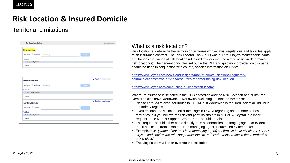## **Risk Location & Insured Domicile**

### Territorial Limitations

| $\times$ Territorial Limitations             |               |  |        | Individual section                |
|----------------------------------------------|---------------|--|--------|-----------------------------------|
| <b>Risk Location</b> *                       |               |  |        |                                   |
|                                              |               |  |        |                                   |
| Worldwide<br>excluding                       | Enter country |  | Search |                                   |
| Add/Edit                                     |               |  |        |                                   |
| Region/Country/Division                      |               |  |        |                                   |
| No items                                     |               |  |        |                                   |
|                                              |               |  |        |                                   |
|                                              |               |  |        |                                   |
|                                              |               |  |        |                                   |
|                                              |               |  |        |                                   |
|                                              |               |  |        | <b>Q</b> Copy from question above |
| Insured Domicile*                            |               |  |        |                                   |
| excluding                                    | Enter country |  | Search |                                   |
|                                              |               |  |        |                                   |
| Region/Country/Division                      |               |  |        |                                   |
|                                              |               |  |        |                                   |
| No items                                     |               |  |        | <b>Q</b> Copy from question above |
| Worldwide<br>Add/Edit<br>Territorial Limits. |               |  |        |                                   |
| Worldwide<br>excluding                       | Enter country |  | Search |                                   |
| Add/Edit                                     |               |  |        |                                   |
| Region/Country/Division                      |               |  |        |                                   |

### What is a risk location?

Risk location(s) determine the territory or territories whose laws, regulations and tax rules apply to an insurance contract. The Risk Locator Tool (RLT) was built for Lloyd's market participants and houses thousands of risk location rules and triggers with the aim to assist in determining risk location(s). The general principles set out in the RLT and guidance provided on this page should be used in conjunction with country specific information on Crystal.

https://www.lloyds.com/news-and-insights/market-communications/regulatory[communications/news-articles/resources-for-determining-risk-location](https://www.lloyds.com/news-and-insights/market-communications/regulatory-communications/news-articles/resources-for-determining-risk-location)

#### <https://www.lloyds.com/conducting-business/risk-locator>

Where Reinsurance is selected in the COB accordion and the Risk Location and/or Insured Domicile fields have 'worldwide' / 'worldwide excluding…' listed as territories:

- Please enter *all* relevant territories to DCOM ie. if Worldwide is required, select all individual countries / regions
- If you encounter a validation error message in DCOM regarding one or more of these territories, but you believe the relevant permissions are in ATLAS & Crystal, a support request to the Market Support Centre Portal should be raised
- This request should either come directly from a contract lead managing agent, or evidence that it has come from a contract lead managing agent, if submitted by the broker
- Example text: "*[Name of contract lead managing agent] confirm we have checked ATLAS & Crystal and confirm the relevant permissions to underwrite reinsurance in these territories are in place*"
- The Lloyd's team will then override the validation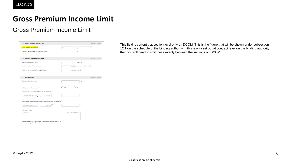## **Gross Premium Income Limit**

### Gross Premium Income Limit

| ▽ Gross Premium Income Limit                                              | Individual section                       |
|---------------------------------------------------------------------------|------------------------------------------|
| Gross premium income limit.                                               | Enter currency code / nam<br>e.g. 0.00   |
| Notifiable percentage of the limit not to exceed*                         | 96                                       |
|                                                                           |                                          |
| $\vee$ Period Of Insurances Bound                                         | Individual section                       |
| Period of insurances bound*                                               | month(s)<br>Number of                    |
| Maximum period of insurances bound*                                       | month(s) including odd time<br>Number of |
| Maximum advance period for inception dates*                               | day(s)                                   |
|                                                                           | Number of                                |
| Commissions<br>$\checkmark$                                               | Individual section                       |
| The coverholder commission*                                               | %                                        |
|                                                                           |                                          |
| Will there be a profit commission?                                        | Yes<br>No                                |
| Maximum fees that may be charged in addition to premium»                  |                                          |
| or<br>Enter currency code / nam<br>e.g. 0.00                              | %                                        |
|                                                                           |                                          |
| Maximum fees that may be deducted from premium in addition to commissions |                                          |
| or<br>e.g. 0.00<br>Enter currency code / nam                              | %                                        |
|                                                                           |                                          |
| Description of fees<br>Type here                                          | Max. 2000 characters                     |
|                                                                           |                                          |
|                                                                           |                                          |
|                                                                           |                                          |

This field is currently at section level only on DCOM. This is the figure that will be shown under subsection 12.1 on the schedule of the binding authority. If this is only set out at contract level on the binding authority, then you will need to split these evenly between the sections on DCOM.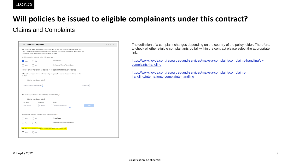#### **LLOYD'S**

## **Will policies be issued to eligible complainants under this contract?**

### Claims and Complaints

| $\vee$ Claims and Complaints<br>Individual section<br>All Delegated Claims Administrators added on this section will be able to see claims and each<br>other's data for this section in Delegated Data Manager. If you want to avoid this, then please add<br>Delegated Claims Administrators on separate sections.<br>Is claims handling authority being delegated to a: *<br>Coverholder<br>Yes<br>No<br>Delegated Claims Administrator<br>No<br>Yes<br>Please enter the following details of delegation to the coverholder(s)<br>What is the per claim limit of authority being delegated for each of the coverholder(s) on this<br>section<br>Enter for each Coverholder?<br>Enter currency code / name<br>Number of<br>The person(s) authorised to exercise any claims authority*<br>Enter for each Coverholder?<br>First Name<br>Surname<br>Email<br>Surname<br>First Name<br>email@address.com<br>Add<br>?<br>Is complaints handling authority being delegated to a: *<br>Coverholder<br>Yes<br>No<br>Delegated Claims Administrator<br>No<br>Yes<br>Will policies be issued to eligible complainants under this contract? *<br>No<br>res |  |  |
|--------------------------------------------------------------------------------------------------------------------------------------------------------------------------------------------------------------------------------------------------------------------------------------------------------------------------------------------------------------------------------------------------------------------------------------------------------------------------------------------------------------------------------------------------------------------------------------------------------------------------------------------------------------------------------------------------------------------------------------------------------------------------------------------------------------------------------------------------------------------------------------------------------------------------------------------------------------------------------------------------------------------------------------------------------------------------------------------------------------------------------------------------|--|--|
|                                                                                                                                                                                                                                                                                                                                                                                                                                                                                                                                                                                                                                                                                                                                                                                                                                                                                                                                                                                                                                                                                                                                                  |  |  |
|                                                                                                                                                                                                                                                                                                                                                                                                                                                                                                                                                                                                                                                                                                                                                                                                                                                                                                                                                                                                                                                                                                                                                  |  |  |
|                                                                                                                                                                                                                                                                                                                                                                                                                                                                                                                                                                                                                                                                                                                                                                                                                                                                                                                                                                                                                                                                                                                                                  |  |  |
|                                                                                                                                                                                                                                                                                                                                                                                                                                                                                                                                                                                                                                                                                                                                                                                                                                                                                                                                                                                                                                                                                                                                                  |  |  |
|                                                                                                                                                                                                                                                                                                                                                                                                                                                                                                                                                                                                                                                                                                                                                                                                                                                                                                                                                                                                                                                                                                                                                  |  |  |
|                                                                                                                                                                                                                                                                                                                                                                                                                                                                                                                                                                                                                                                                                                                                                                                                                                                                                                                                                                                                                                                                                                                                                  |  |  |
|                                                                                                                                                                                                                                                                                                                                                                                                                                                                                                                                                                                                                                                                                                                                                                                                                                                                                                                                                                                                                                                                                                                                                  |  |  |
|                                                                                                                                                                                                                                                                                                                                                                                                                                                                                                                                                                                                                                                                                                                                                                                                                                                                                                                                                                                                                                                                                                                                                  |  |  |
|                                                                                                                                                                                                                                                                                                                                                                                                                                                                                                                                                                                                                                                                                                                                                                                                                                                                                                                                                                                                                                                                                                                                                  |  |  |
|                                                                                                                                                                                                                                                                                                                                                                                                                                                                                                                                                                                                                                                                                                                                                                                                                                                                                                                                                                                                                                                                                                                                                  |  |  |
|                                                                                                                                                                                                                                                                                                                                                                                                                                                                                                                                                                                                                                                                                                                                                                                                                                                                                                                                                                                                                                                                                                                                                  |  |  |
|                                                                                                                                                                                                                                                                                                                                                                                                                                                                                                                                                                                                                                                                                                                                                                                                                                                                                                                                                                                                                                                                                                                                                  |  |  |
|                                                                                                                                                                                                                                                                                                                                                                                                                                                                                                                                                                                                                                                                                                                                                                                                                                                                                                                                                                                                                                                                                                                                                  |  |  |
|                                                                                                                                                                                                                                                                                                                                                                                                                                                                                                                                                                                                                                                                                                                                                                                                                                                                                                                                                                                                                                                                                                                                                  |  |  |
|                                                                                                                                                                                                                                                                                                                                                                                                                                                                                                                                                                                                                                                                                                                                                                                                                                                                                                                                                                                                                                                                                                                                                  |  |  |
|                                                                                                                                                                                                                                                                                                                                                                                                                                                                                                                                                                                                                                                                                                                                                                                                                                                                                                                                                                                                                                                                                                                                                  |  |  |
|                                                                                                                                                                                                                                                                                                                                                                                                                                                                                                                                                                                                                                                                                                                                                                                                                                                                                                                                                                                                                                                                                                                                                  |  |  |
|                                                                                                                                                                                                                                                                                                                                                                                                                                                                                                                                                                                                                                                                                                                                                                                                                                                                                                                                                                                                                                                                                                                                                  |  |  |
|                                                                                                                                                                                                                                                                                                                                                                                                                                                                                                                                                                                                                                                                                                                                                                                                                                                                                                                                                                                                                                                                                                                                                  |  |  |
|                                                                                                                                                                                                                                                                                                                                                                                                                                                                                                                                                                                                                                                                                                                                                                                                                                                                                                                                                                                                                                                                                                                                                  |  |  |
|                                                                                                                                                                                                                                                                                                                                                                                                                                                                                                                                                                                                                                                                                                                                                                                                                                                                                                                                                                                                                                                                                                                                                  |  |  |

The definition of a complaint changes depending on the country of the policyholder. Therefore, to check whether eligible complainants do fall within the contract please select the appropriate link:

[https://www.lloyds.com/resources-and-services/make-a-complaint/complaints-handling/uk](https://www.lloyds.com/resources-and-services/make-a-complaint/complaints-handling/uk-complaints-handling)complaints-handling

[https://www.lloyds.com/resources-and-services/make-a-complaint/complaints](https://www.lloyds.com/resources-and-services/make-a-complaint/complaints-handling/international-complaints-handling)handling/international-complaints-handling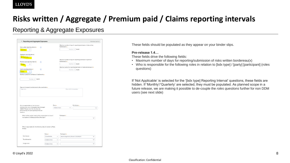#### **LLOYD'S**

## **Risks written / Aggregate / Premium paid / Claims reporting intervals**

Reporting & Aggregate Exposures

| $\vee$ Reporting and Aggregate Exposures                                                                                                                                              |              |              |                                                                                          |                  | Individual section |
|---------------------------------------------------------------------------------------------------------------------------------------------------------------------------------------|--------------|--------------|------------------------------------------------------------------------------------------|------------------|--------------------|
| Risks written reporting interval *<br>$\circledR$                                                                                                                                     |              |              | Maximum number of days for reporting/submission of risks written<br>bordereau(x) $\star$ |                  |                    |
| Quarterly<br>$\checkmark$                                                                                                                                                             |              |              | Number of                                                                                | day(s)           |                    |
| Aggregate reporting interval                                                                                                                                                          |              |              |                                                                                          |                  |                    |
| Not Applicable                                                                                                                                                                        |              |              |                                                                                          |                  |                    |
|                                                                                                                                                                                       |              |              | Maximum number of days for reporting/submission of premium                               |                  |                    |
| Premium paid reporting interval *<br>$\circledR$                                                                                                                                      |              |              | bordereau(x) $\star$                                                                     |                  |                    |
| <b>Monthly</b><br>$\checkmark$                                                                                                                                                        |              |              | Number of                                                                                | day(s)           |                    |
|                                                                                                                                                                                       |              |              | Maximum period for reporting/submission of claims bordereau(x) *                         |                  |                    |
| Claims reporting interval *<br>$\circledR$                                                                                                                                            |              |              |                                                                                          | Number of day(s) |                    |
| Select<br>$\checkmark$                                                                                                                                                                |              |              |                                                                                          |                  |                    |
| Maximum period for remittance of settlements *                                                                                                                                        |              |              |                                                                                          |                  |                    |
|                                                                                                                                                                                       |              |              |                                                                                          |                  |                    |
| Number of day(s)                                                                                                                                                                      |              |              |                                                                                          |                  |                    |
|                                                                                                                                                                                       |              |              |                                                                                          |                  |                    |
|                                                                                                                                                                                       |              |              |                                                                                          |                  |                    |
|                                                                                                                                                                                       |              |              |                                                                                          |                  |                    |
|                                                                                                                                                                                       |              |              |                                                                                          |                  |                    |
| Fees and charges to be deducted by the coverholder *                                                                                                                                  |              |              |                                                                                          |                  |                    |
|                                                                                                                                                                                       |              |              |                                                                                          |                  |                    |
|                                                                                                                                                                                       |              |              |                                                                                          |                  |                    |
|                                                                                                                                                                                       |              |              | Max. 2000 characters                                                                     |                  |                    |
|                                                                                                                                                                                       |              |              |                                                                                          |                  |                    |
|                                                                                                                                                                                       |              |              |                                                                                          |                  |                    |
|                                                                                                                                                                                       |              |              |                                                                                          |                  |                    |
| Type here                                                                                                                                                                             |              |              |                                                                                          |                  |                    |
|                                                                                                                                                                                       |              |              |                                                                                          |                  |                    |
|                                                                                                                                                                                       |              |              |                                                                                          |                  |                    |
|                                                                                                                                                                                       |              |              |                                                                                          |                  |                    |
|                                                                                                                                                                                       |              | Party *      |                                                                                          | Participant *    |                    |
|                                                                                                                                                                                       |              | Underwriters | $\checkmark$                                                                             |                  | $\checkmark$       |
|                                                                                                                                                                                       |              |              |                                                                                          |                  |                    |
|                                                                                                                                                                                       |              |              |                                                                                          |                  |                    |
|                                                                                                                                                                                       |              |              |                                                                                          |                  |                    |
| Which of the section leads will be responsible for breach                                                                                                                             |              |              | Participant *                                                                            |                  |                    |
| management in Delegated Data Manager?                                                                                                                                                 |              |              |                                                                                          |                  |                    |
|                                                                                                                                                                                       |              |              |                                                                                          |                  |                    |
|                                                                                                                                                                                       |              |              |                                                                                          |                  |                    |
|                                                                                                                                                                                       |              |              |                                                                                          |                  |                    |
|                                                                                                                                                                                       |              |              |                                                                                          |                  |                    |
| Who is responsible for the following roles in relation to Risks                                                                                                                       |              |              |                                                                                          |                  |                    |
| Written                                                                                                                                                                               |              |              |                                                                                          |                  |                    |
|                                                                                                                                                                                       |              |              |                                                                                          |                  |                    |
|                                                                                                                                                                                       |              |              |                                                                                          |                  |                    |
|                                                                                                                                                                                       | Party *      |              | Participant *                                                                            |                  |                    |
| Submission                                                                                                                                                                            | Coverholder  | $\checkmark$ | Islands Agronomy Branch 321216QIH                                                        |                  |                    |
| Who is responsible for the Contract<br>Administrator role in Delegated Data Manager<br>(DDM)? Please note this role must be<br>performed by the same participant for all<br>sections. |              |              |                                                                                          |                  |                    |
| Transformation                                                                                                                                                                        | Underwriters | $\checkmark$ |                                                                                          |                  |                    |
| Assignment                                                                                                                                                                            | Underwriters | $\vee$       |                                                                                          |                  | $\check{ }$        |

These fields should be populated as they appear on your binder slips.

#### **Pre-release 1.4…**

These fields drive the following fields:

- Maximum number of days for reporting/submission of risks written bordereau(x)
- Who is responsible for the following roles in relation to [bdx type] / [party] [participant] (roles questions)

If 'Not Applicable' is selected for the '[bdx type] Reporting Interval' questions, these fields are hidden. If 'Monthly'/'Quarterly' are selected, they must be populated. As planned scope in a future release, we are making it possible to de-couple the *roles questions* further for non DDM users (see next slide)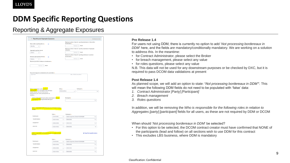## **DDM Specific Reporting Questions**

### Reporting & Aggregate Exposures

|                                                                                                                                                                                                                                                                                                                                                                    | $\vee$ Reporting and Aggregate Exposures |                                                                                                                                                                                                                                                                                                                                                                          | Individual section                | <b>Pre Release 1.4</b>                                                                                                                                                                                                                                                                                                                                                                                                                                                                                                                                                                                                                                                                                                                                                                                |
|--------------------------------------------------------------------------------------------------------------------------------------------------------------------------------------------------------------------------------------------------------------------------------------------------------------------------------------------------------------------|------------------------------------------|--------------------------------------------------------------------------------------------------------------------------------------------------------------------------------------------------------------------------------------------------------------------------------------------------------------------------------------------------------------------------|-----------------------------------|-------------------------------------------------------------------------------------------------------------------------------------------------------------------------------------------------------------------------------------------------------------------------------------------------------------------------------------------------------------------------------------------------------------------------------------------------------------------------------------------------------------------------------------------------------------------------------------------------------------------------------------------------------------------------------------------------------------------------------------------------------------------------------------------------------|
| Risks written reporting interval *<br>Monthly<br>Aggregate reporting interval<br>Select.<br>Premium paid reporting interval *<br>Select<br>Maximum period for remittance of settlements<br>Number of day(s)<br>Focs and charges to be deducted by the coverholder a<br>Type here<br>nistrator role in Delegated Data Manag<br>(DDM)? Please note this role must be | <b>Party's</b><br>Underwriters           | Maximum number of days for reporting/submission of risks writter<br>bordereau(x) a<br>Number of day(s)<br>Maximum number of days for reporting /submission of aggregate<br><b>CYLDOSUROS</b><br>Number of day(s)<br>Maximum number of days for reporting/submission of premium<br>bordereau (v) -<br>Number of day(s)<br>Max, 2000 characters<br>Participant +<br>$\vee$ | $\vee$                            | For users not using DDM, there is currently no option to add 'Not processing bordereaux in<br>DDM here, and the fields are mandatory/conditionally mandatory. We are working on a solution<br>to address this. In the meantime:<br>for Contract Administrator, please select the Broker<br>for breach management, please select any value<br>for roles questions, please select any value<br>N.B. This data will not be used for any downstream purposes or be checked by DXC, but it is<br>required to pass DCOM data validations at present<br>Post Release 1.4<br>As planned scope, we will add an option to state: 'Not processing bordereaux in DDM'*. This<br>will mean the following DDM fields do not need to be populated with 'false' data:<br>Contract Administrator [Party] [Participant] |
| performed by the same participant for a<br>sections<br>Which of the section leads will be responsible for bread<br>management in Delegated Data Manager?                                                                                                                                                                                                           |                                          | Participant *                                                                                                                                                                                                                                                                                                                                                            |                                   | <b>Breach management</b>                                                                                                                                                                                                                                                                                                                                                                                                                                                                                                                                                                                                                                                                                                                                                                              |
| Who is responsible for the following roles in relati                                                                                                                                                                                                                                                                                                               | Party e                                  | Participant o                                                                                                                                                                                                                                                                                                                                                            | $\vee$                            | 3.<br>Roles questions<br>In addition, we will be removing the Who is responsible for the following roles in relation to<br>Aggregates [party] [participant] fields for all users, as these are not required by DDM or DCOM                                                                                                                                                                                                                                                                                                                                                                                                                                                                                                                                                                            |
| Submission<br>Transformation                                                                                                                                                                                                                                                                                                                                       | Coverholder                              | Islands Agronomy Branch 321216QIH                                                                                                                                                                                                                                                                                                                                        | $\vee$                            |                                                                                                                                                                                                                                                                                                                                                                                                                                                                                                                                                                                                                                                                                                                                                                                                       |
| Assignmen                                                                                                                                                                                                                                                                                                                                                          | Underwriters<br>Indepartters             | 2332 2332<br>2332 2332                                                                                                                                                                                                                                                                                                                                                   | $\checkmark$<br>$\vee$            |                                                                                                                                                                                                                                                                                                                                                                                                                                                                                                                                                                                                                                                                                                                                                                                                       |
| Annrowa                                                                                                                                                                                                                                                                                                                                                            | <b>Underwriters</b><br>$\vee$            | 2332 2332                                                                                                                                                                                                                                                                                                                                                                | $\vee$                            | When should 'Not processing bordereaux in DDM' be selected?                                                                                                                                                                                                                                                                                                                                                                                                                                                                                                                                                                                                                                                                                                                                           |
| Who is responsible for the following roles in relation to Paid                                                                                                                                                                                                                                                                                                     |                                          |                                                                                                                                                                                                                                                                                                                                                                          | <b>Q</b> Copy from question above | the participants (lead and follow) on all sections wish to use DDM for this contract<br>• This excludes LBS business, where DDM is mandatory                                                                                                                                                                                                                                                                                                                                                                                                                                                                                                                                                                                                                                                          |
|                                                                                                                                                                                                                                                                                                                                                                    | Party 4                                  | Porticipant o                                                                                                                                                                                                                                                                                                                                                            |                                   |                                                                                                                                                                                                                                                                                                                                                                                                                                                                                                                                                                                                                                                                                                                                                                                                       |
| Submission<br>Transformatio                                                                                                                                                                                                                                                                                                                                        |                                          | Islands Agronomy Branch 321216QIH                                                                                                                                                                                                                                                                                                                                        | $\checkmark$                      |                                                                                                                                                                                                                                                                                                                                                                                                                                                                                                                                                                                                                                                                                                                                                                                                       |
|                                                                                                                                                                                                                                                                                                                                                                    | <b>Underwriters</b>                      | 2332 2332                                                                                                                                                                                                                                                                                                                                                                | $\checkmark$                      | For this option to be selected, the DCOM contract creator must have confirmed that NONE of                                                                                                                                                                                                                                                                                                                                                                                                                                                                                                                                                                                                                                                                                                            |
| Assignment                                                                                                                                                                                                                                                                                                                                                         | <b>Underwriters</b>                      | 2332 2332                                                                                                                                                                                                                                                                                                                                                                | $\vee$                            |                                                                                                                                                                                                                                                                                                                                                                                                                                                                                                                                                                                                                                                                                                                                                                                                       |

#### **Pre Release 1.4**

- for Contract Administrator, please select the Broker
- for breach management, please select any value
- for roles questions, please select any value

#### **Post Release 1.4**

- *1. Contract Administrator [Party] [Participant]*
- *2. Breach management*
- *3. Roles questions*

- For this option to be selected, the DCOM contract creator must have confirmed that NONE of the participants (lead and follow) on all sections wish to use DDM for this contract
- This excludes LBS business, where DDM is mandatory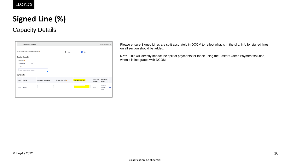## **Signed Line (%)**

## Capacity Details



Please ensure Signed Lines are split accurately in DCOM to reflect what is in the slip. Info for signed lines on all section should be added.

**Note:** This will directly impact the split of payments for those using the Faster Claims Payment solution, when it is integrated with DCOM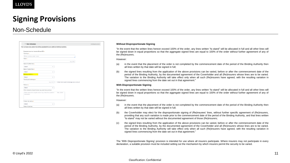## **Signing Provisions**

### Non-Schedule

| Expected premium income (Gross EPI)*                                |           |              |                                            |  |
|---------------------------------------------------------------------|-----------|--------------|--------------------------------------------|--|
| Currency *                                                          |           |              |                                            |  |
| Enter currency code / name                                          |           |              |                                            |  |
| Value *                                                             |           |              |                                            |  |
|                                                                     |           |              | e.g. 0.00                                  |  |
| Basis of written lines *                                            |           |              |                                            |  |
| Select                                                              |           | $\checkmark$ |                                            |  |
| Basis of signed lines *                                             |           |              |                                            |  |
| Select                                                              |           | $\checkmark$ |                                            |  |
| Signing provisions *                                                |           |              |                                            |  |
| Select                                                              |           | $\checkmark$ |                                            |  |
| Total Lloyd's brokerage *                                           |           |              |                                            |  |
|                                                                     | e.g. 0.00 |              | Enter total Lloyd's brokerage as an amount |  |
| Platform +                                                          |           |              |                                            |  |
| Select                                                              |           | $\checkmark$ |                                            |  |
| Other deductions Lloyd's broker may make from premium               |           |              |                                            |  |
| Other deductions Lloyd's broker may make from premium<br>characters |           | Max. 2000    |                                            |  |

#### **Without Disproportionate Signing**

"In the event that the written lines hereon exceed 100% of the order, any lines written "to stand" will be allocated in full and all other lines will be signed down in equal proportions so that the aggregate signed lines are equal to 100% of the order without further agreement of any of the (Re)insurers.

#### However:

section

- (a) in the event that the placement of the order is not completed by the commencement date of the period of the Binding Authority then all lines written by that date will be signed in full;
- (b) the signed lines resulting from the application of the above provisions can be varied, before or after the commencement date of the period of the Binding Authority, by the documented agreement of the Coverholder and all (Re)insurers whose lines are to be varied. The variation to the Binding Authority will take effect only when all such (Re)insurers have agreed, with the resulting variation in signed lines commencing from the date set out in that agreement."

#### **With Disproportionate Signing**

"In the event that the written lines hereon exceed 100% of the order, any lines written "to stand" will be allocated in full and all other lines will be signed down in equal proportions so that the aggregate signed lines are equal to 100% of the order without further agreement of any of the (Re)insurers.

#### However:

- (a) in the event that the placement of the order is not completed by the commencement date of the period of the Binding Authority then all lines written by that date will be signed in full;
- (b) the Coverholder may elect for the disproportionate signing of (Re)insurers' lines, without further specific agreement of (Re)insurers, providing that any such variation is made prior to the commencement date of the period of the Binding Authority, and that lines written "to stand" may not be varied without the documented agreement of those (Re)insurers;
- (c) the signed lines resulting from the application of the above provisions can be varied, before or after the commencement date of the period of the Binding Authority, by the documented agreement of the Coverholder and all (Re)insurers whose lines are to be varied. The variation to the Binding Authority will take effect only when all such (Re)insurers have agreed, with the resulting variation in signed lines commencing from the date set out in that agreement."

The 'With Disproportionate Signing' provision is intended for use where all insurers participate. Where insurers may not participate in every declaration, a suitable provision must be included setting out the mechanism by which insurers permit the security to be varied.

#### Classification: Confidential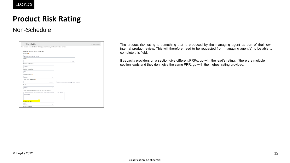## **Product Risk Rating**

### Non-Schedule

| $\times$ Non-Schedule                                               |                                                                                         | Individual section |
|---------------------------------------------------------------------|-----------------------------------------------------------------------------------------|--------------------|
|                                                                     | Non-schedule data added here will be populated into any additional individual sections. |                    |
| Expected premium income (Gross EPI)*                                |                                                                                         |                    |
| Currency *                                                          |                                                                                         |                    |
| Enter currency code / name                                          |                                                                                         |                    |
| Value *                                                             |                                                                                         |                    |
|                                                                     | e.g. 0.00                                                                               |                    |
| Basis of written lines *                                            |                                                                                         |                    |
| Select                                                              | $\checkmark$                                                                            |                    |
| Basis of signed lines *                                             |                                                                                         |                    |
| Select                                                              | $\vee$                                                                                  |                    |
| Signing provisions *                                                |                                                                                         |                    |
| Select                                                              | v                                                                                       |                    |
| Total Lloyd's brokerage *                                           |                                                                                         |                    |
|                                                                     | Enter total Lloyd's brokerage as an amount<br>e.g. 0.00                                 |                    |
| Platform +                                                          |                                                                                         |                    |
| Select                                                              | $\checkmark$                                                                            |                    |
| Other deductions Lloyd's broker may make from premium               |                                                                                         |                    |
| Other deductions Lloyd's broker may make from premium<br>characters | Max. 2000                                                                               |                    |
| Product risk rating *                                               |                                                                                         |                    |
| Select                                                              | $\checkmark$                                                                            |                    |

The product risk rating is something that is produced by the managing agent as part of their own internal product review. This will therefore need to be requested from managing agent(s) to be able to complete this field.

If capacity providers on a section give different PRRs, go with the lead's rating. If there are multiple section leads and they don't give the same PRR, go with the highest rating provided.